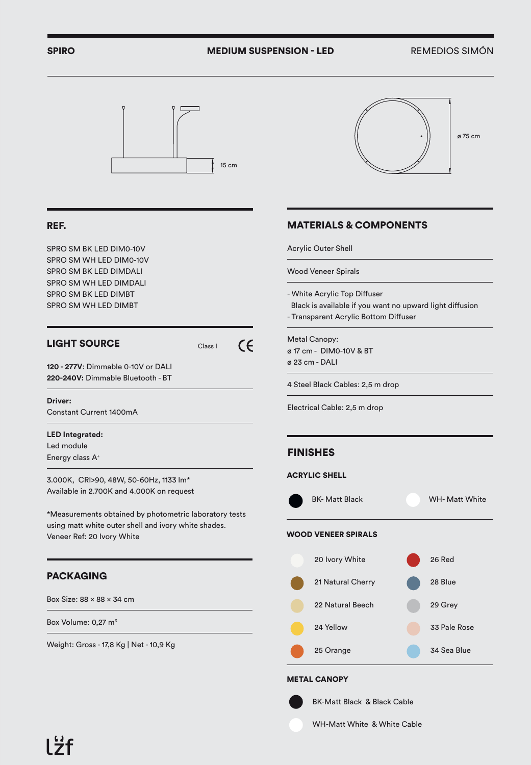## SPIRO **MEDIUM SUSPENSION - LED** REMEDIOS SIMÓN



## REF.

SPRO SM BK LED DIM0-10V SPRO SM WH LED DIM0-10V SPRO SM BK LED DIMDALI SPRO SM WH LED DIMDALI SPRO SM BK LED DIMBT SPRO SM WH LED DIMBT

# LIGHT SOURCE

 $\epsilon$ Class I

**120 - 277V**: Dimmable 0-10V or DALI **220-240V:** Dimmable Bluetooth - BT

#### **Driver:**

Constant Current 1400mA

#### **LED Integrated:**

Led module Energy class A+

3.000K, CRI>90, 48W, 50-60Hz, 1133 lm\* Available in 2.700K and 4.000K on request

\*Measurements obtained by photometric laboratory tests using matt white outer shell and ivory white shades. Veneer Ref: 20 Ivory White

## PACKAGING

Box Size:  $88 \times 88 \times 34$  cm

Box Volume: 0,27 m<sup>3</sup>

Weight: Gross - 17,8 Kg | Net - 10,9 Kg



# MATERIALS & COMPONENTS

Acrylic Outer Shell

Wood Veneer Spirals

- White Acrylic Top Diffuser

 Black is available if you want no upward light diffusion - Transparent Acrylic Bottom Diffuser

Metal Canopy: ø 17 cm - DIM0-10V & BT ø 23 cm - DALI

4 Steel Black Cables: 2,5 m drop

Electrical Cable: 2,5 m drop

## FINISHES

#### ACRYLIC SHELL



#### METAL CANOPY

BK-Matt Black & Black Cable

WH-Matt White & White Cable